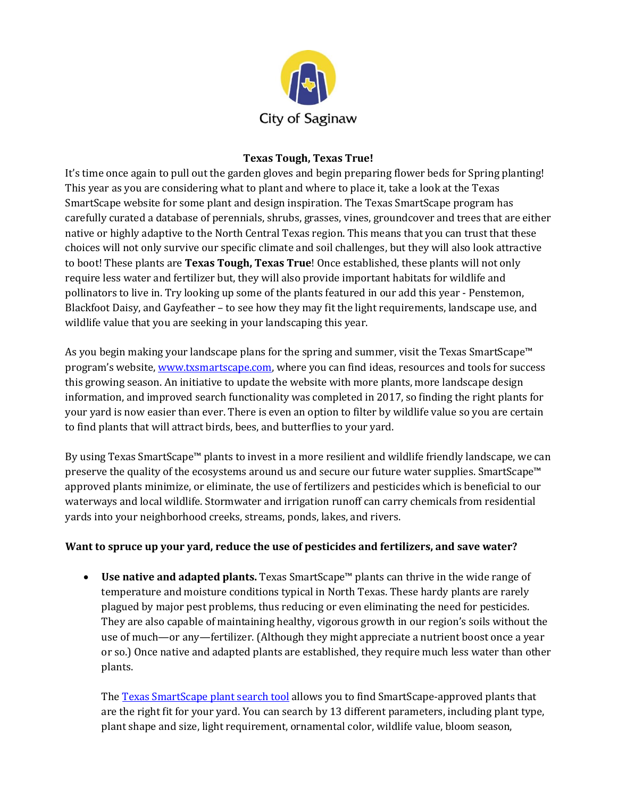

## **Texas Tough, Texas True!**

It's time once again to pull out the garden gloves and begin preparing flower beds for Spring planting! This year as you are considering what to plant and where to place it, take a look at the Texas SmartScape website for some plant and design inspiration. The Texas SmartScape program has carefully curated a database of perennials, shrubs, grasses, vines, groundcover and trees that are either native or highly adaptive to the North Central Texas region. This means that you can trust that these choices will not only survive our specific climate and soil challenges, but they will also look attractive to boot! These plants are **Texas Tough, Texas True**! Once established, these plants will not only require less water and fertilizer but, they will also provide important habitats for wildlife and pollinators to live in. Try looking up some of the plants featured in our add this year - Penstemon, Blackfoot Daisy, and Gayfeather – to see how they may fit the light requirements, landscape use, and wildlife value that you are seeking in your landscaping this year.

As you begin making your landscape plans for the spring and summer, visit the Texas SmartScape™ program's website, [www.txsmartscape.com,](http://www.txsmartscape.com/) where you can find ideas, resources and tools for success this growing season. An initiative to update the website with more plants, more landscape design information, and improved search functionality was completed in 2017, so finding the right plants for your yard is now easier than ever. There is even an option to filter by wildlife value so you are certain to find plants that will attract birds, bees, and butterflies to your yard.

By using Texas SmartScape™ plants to invest in a more resilient and wildlife friendly landscape, we can preserve the quality of the ecosystems around us and secure our future water supplies. SmartScape<sup>™</sup> approved plants minimize, or eliminate, the use of fertilizers and pesticides which is beneficial to our waterways and local wildlife. Stormwater and irrigation runoff can carry chemicals from residential yards into your neighborhood creeks, streams, ponds, lakes, and rivers.

## **Want to spruce up your yard, reduce the use of pesticides and fertilizers, and save water?**

 **Use native and adapted plants.** Texas SmartScape™ plants can thrive in the wide range of temperature and moisture conditions typical in North Texas. These hardy plants are rarely plagued by major pest problems, thus reducing or even eliminating the need for pesticides. They are also capable of maintaining healthy, vigorous growth in our region's soils without the use of much—or any—fertilizer. (Although they might appreciate a nutrient boost once a year or so.) Once native and adapted plants are established, they require much less water than other plants.

The [Texas SmartScape plant search tool](http://www.txsmartscape.com/plant_search/index.asp) allows you to find SmartScape-approved plants that are the right fit for your yard. You can search by 13 different parameters, including plant type, plant shape and size, light requirement, ornamental color, wildlife value, bloom season,